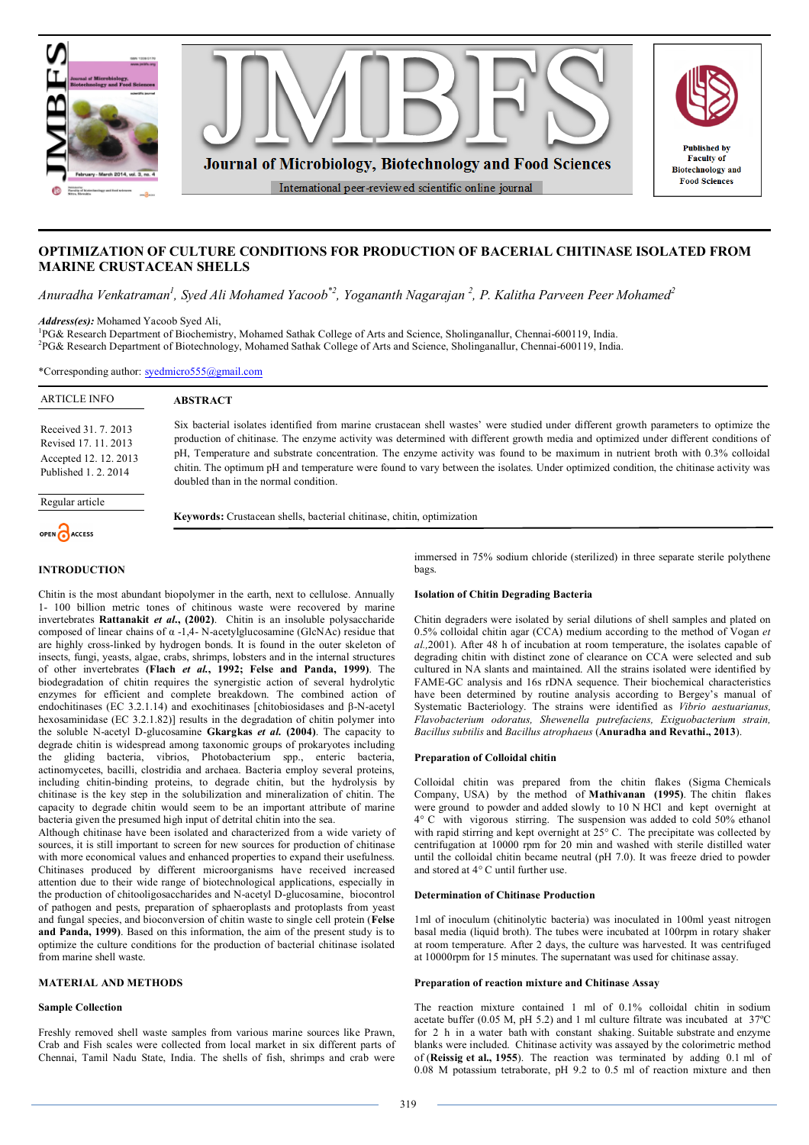

# **OPTIMIZATION OF CULTURE CONDITIONS FOR PRODUCTION OF BACERIAL CHITINASE ISOLATED FROM MARINE CRUSTACEAN SHELLS**

*Anuradha Venkatraman<sup>1</sup> , Syed Ali Mohamed Yacoob\*2, Yogananth Nagarajan <sup>2</sup> , P. Kalitha Parveen Peer Mohamed<sup>2</sup>*

*Address(es):* Mohamed Yacoob Syed Ali,

1 PG& Research Department of Biochemistry, Mohamed Sathak College of Arts and Science, Sholinganallur, Chennai-600119, India. 2 PG& Research Department of Biotechnology, Mohamed Sathak College of Arts and Science, Sholinganallur, Chennai-600119, India.

\*Corresponding author: syedmicro555@gmail.com

| <b>ARTICLE INFO</b>                                                                           | <b>ABSTRACT</b>                                                                                                                                                                                                                                                                                                                                                                                                                                                                                                                                                                                  |  |  |  |
|-----------------------------------------------------------------------------------------------|--------------------------------------------------------------------------------------------------------------------------------------------------------------------------------------------------------------------------------------------------------------------------------------------------------------------------------------------------------------------------------------------------------------------------------------------------------------------------------------------------------------------------------------------------------------------------------------------------|--|--|--|
| Received 31, 7, 2013<br>Revised 17, 11, 2013<br>Accepted 12, 12, 2013<br>Published 1, 2, 2014 | Six bacterial isolates identified from marine crustacean shell wastes' were studied under different growth parameters to optimize the<br>production of chitinase. The enzyme activity was determined with different growth media and optimized under different conditions of<br>pH, Temperature and substrate concentration. The enzyme activity was found to be maximum in nutrient broth with 0.3% colloidal<br>chitin. The optimum pH and temperature were found to vary between the isolates. Under optimized condition, the chitinase activity was<br>doubled than in the normal condition. |  |  |  |
| Regular article                                                                               |                                                                                                                                                                                                                                                                                                                                                                                                                                                                                                                                                                                                  |  |  |  |
| OPEN CACCESS                                                                                  | Keywords: Crustacean shells, bacterial chitinase, chitin, optimization                                                                                                                                                                                                                                                                                                                                                                                                                                                                                                                           |  |  |  |
| <b>INTRODUCTION</b>                                                                           | immersed in 75% sodium chloride (sterilized) in three separate sterile polythene<br>bags.                                                                                                                                                                                                                                                                                                                                                                                                                                                                                                        |  |  |  |

### **Isolation of Chitin Degrading Bacteria**

Chitin degraders were isolated by serial dilutions of shell samples and plated on 0.5% colloidal chitin agar (CCA) medium according to the method of Vogan *et al.,*2001). After 48 h of incubation at room temperature, the isolates capable of degrading chitin with distinct zone of clearance on CCA were selected and sub cultured in NA slants and maintained. All the strains isolated were identified by FAME-GC analysis and 16s rDNA sequence. Their biochemical characteristics have been determined by routine analysis according to Bergey's manual of Systematic Bacteriology. The strains were identified as *Vibrio aestuarianus, Flavobacterium odoratus, Shewenella putrefaciens, Exiguobacterium strain, Bacillus subtilis* and *Bacillus atrophaeus* (**Anuradha and Revathi., 2013**).

### **Preparation of Colloidal chitin**

Colloidal chitin was prepared from the chitin flakes (Sigma Chemicals Company, USA) by the method of **Mathivanan (1995)**. The chitin flakes were ground to powder and added slowly to 10 N HCl and kept overnight at 4° C with vigorous stirring. The suspension was added to cold 50% ethanol with rapid stirring and kept overnight at  $25^{\circ}$  C. The precipitate was collected by centrifugation at 10000 rpm for 20 min and washed with sterile distilled water until the colloidal chitin became neutral (pH 7.0). It was freeze dried to powder and stored at 4° C until further use.

### **Determination of Chitinase Production**

1ml of inoculum (chitinolytic bacteria) was inoculated in 100ml yeast nitrogen basal media (liquid broth). The tubes were incubated at 100rpm in rotary shaker at room temperature. After 2 days, the culture was harvested. It was centrifuged at 10000rpm for 15 minutes. The supernatant was used for chitinase assay.

# **Preparation of reaction mixture and Chitinase Assay**

The reaction mixture contained 1 ml of 0.1% colloidal chitin in sodium acetate buffer (0.05 M, pH 5.2) and 1 ml culture filtrate was incubated at 37ºC for 2 h in a water bath with constant shaking. Suitable substrate and enzyme blanks were included. Chitinase activity was assayed by the colorimetric method of (**Reissig et al., 1955**). The reaction was terminated by adding 0.1 ml of 0.08 M potassium tetraborate, pH 9.2 to 0.5 ml of reaction mixture and then

### **INTRODUCTION**

Chitin is the most abundant biopolymer in the earth, next to cellulose. Annually 1- 100 billion metric tones of chitinous waste were recovered by marine invertebrates **Rattanakit** *et al***., (2002)**. Chitin is an insoluble polysaccharide composed of linear chains of  $α -1,4-$  N-acetylglucosamine (GlcNAc) residue that are highly cross-linked by hydrogen bonds. It is found in the outer skeleton of insects, fungi, yeasts, algae, crabs, shrimps, lobsters and in the internal structures of other invertebrates **(Flach** *et al.***, 1992; Felse and Panda, 1999)**. The biodegradation of chitin requires the synergistic action of several hydrolytic enzymes for efficient and complete breakdown. The combined action of endochitinases (EC 3.2.1.14) and exochitinases [chitobiosidases and β-N-acetyl hexosaminidase (EC 3.2.1.82)] results in the degradation of chitin polymer into the soluble N-acetyl D-glucosamine **Gkargkas** *et al.* **(2004)**. The capacity to degrade chitin is widespread among taxonomic groups of prokaryotes including the gliding bacteria, vibrios, Photobacterium spp., enteric bacteria, actinomycetes, bacilli, clostridia and archaea. Bacteria employ several proteins, including chitin-binding proteins, to degrade chitin, but the hydrolysis by chitinase is the key step in the solubilization and mineralization of chitin. The capacity to degrade chitin would seem to be an important attribute of marine bacteria given the presumed high input of detrital chitin into the sea.

Although chitinase have been isolated and characterized from a wide variety of sources, it is still important to screen for new sources for production of chitinase with more economical values and enhanced properties to expand their usefulness. Chitinases produced by different microorganisms have received increased attention due to their wide range of biotechnological applications, especially in the production of chitooligosaccharides and N-acetyl D-glucosamine, biocontrol of pathogen and pests, preparation of sphaeroplasts and protoplasts from yeast and fungal species, and bioconversion of chitin waste to single cell protein (**Felse and Panda, 1999)**. Based on this information, the aim of the present study is to optimize the culture conditions for the production of bacterial chitinase isolated from marine shell waste.

## **MATERIAL AND METHODS**

### **Sample Collection**

Freshly removed shell waste samples from various marine sources like Prawn, Crab and Fish scales were collected from local market in six different parts of Chennai, Tamil Nadu State, India. The shells of fish, shrimps and crab were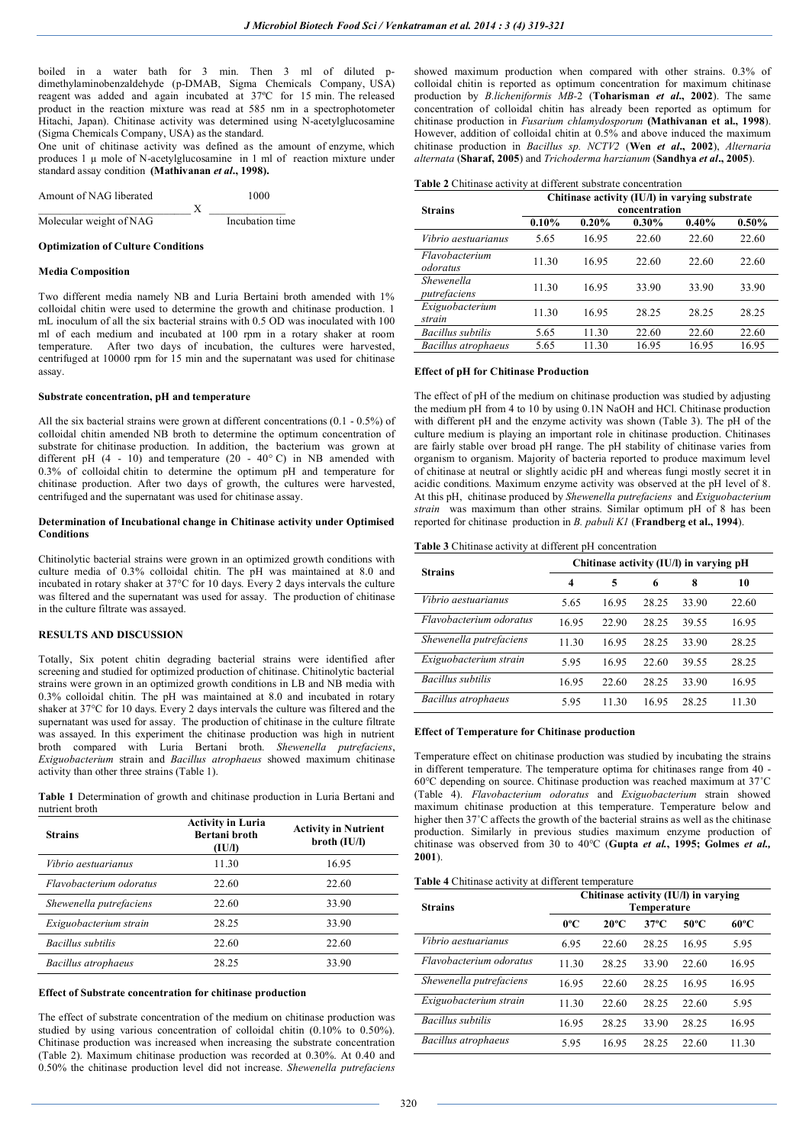boiled in a water bath for 3 min. Then 3 ml of diluted pdimethylaminobenzaldehyde (p-DMAB, Sigma Chemicals Company, USA) reagent was added and again incubated at 37ºC for 15 min. The released product in the reaction mixture was read at 585 nm in a spectrophotometer Hitachi, Japan). Chitinase activity was determined using N-acetylglucosamine (Sigma Chemicals Company, USA) as the standard.

One unit of chitinase activity was defined as the amount of enzyme, which produces 1 µ mole of N-acetylglucosamine in 1 ml of reaction mixture under standard assay condition **(Mathivanan** *et al***., 1998).**

| Amount of NAG liberated |  | 1000            |
|-------------------------|--|-----------------|
|                         |  |                 |
| Molecular weight of NAG |  | Incubation time |

#### **Optimization of Culture Conditions**

#### **Media Composition**

Two different media namely NB and Luria Bertaini broth amended with 1% colloidal chitin were used to determine the growth and chitinase production. 1 mL inoculum of all the six bacterial strains with 0.5 OD was inoculated with 100 ml of each medium and incubated at 100 rpm in a rotary shaker at room temperature. After two days of incubation, the cultures were harvested, centrifuged at 10000 rpm for 15 min and the supernatant was used for chitinase assay.

### **Substrate concentration, pH and temperature**

All the six bacterial strains were grown at different concentrations (0.1 - 0.5%) of colloidal chitin amended NB broth to determine the optimum concentration of substrate for chitinase production. In addition, the bacterium was grown at different pH  $(4 - 10)$  and temperature  $(20 - 40^{\circ} \text{C})$  in NB amended with 0.3% of colloidal chitin to determine the optimum pH and temperature for chitinase production. After two days of growth, the cultures were harvested, centrifuged and the supernatant was used for chitinase assay.

#### **Determination of Incubational change in Chitinase activity under Optimised Conditions**

Chitinolytic bacterial strains were grown in an optimized growth conditions with culture media of 0.3% colloidal chitin. The pH was maintained at 8.0 and incubated in rotary shaker at 37°C for 10 days. Every 2 days intervals the culture was filtered and the supernatant was used for assay. The production of chitinase in the culture filtrate was assayed.

### **RESULTS AND DISCUSSION**

Totally, Six potent chitin degrading bacterial strains were identified after screening and studied for optimized production of chitinase. Chitinolytic bacterial strains were grown in an optimized growth conditions in LB and NB media with 0.3% colloidal chitin. The pH was maintained at 8.0 and incubated in rotary shaker at 37°C for 10 days. Every 2 days intervals the culture was filtered and the supernatant was used for assay. The production of chitinase in the culture filtrate was assayed. In this experiment the chitinase production was high in nutrient broth compared with Luria Bertani broth. *Shewenella putrefaciens*, *Exiguobacterium* strain and *Bacillus atrophaeus* showed maximum chitinase activity than other three strains (Table 1).

**Table 1** Determination of growth and chitinase production in Luria Bertani and nutrient broth

| <b>Strains</b>           | <b>Activity in Luria</b><br>Bertani broth<br>(IU/I) | <b>Activity in Nutrient</b><br>$b$ roth $(IU/I)$ |  |
|--------------------------|-----------------------------------------------------|--------------------------------------------------|--|
| Vibrio aestuarianus      | 11.30                                               | 16.95                                            |  |
| Flavobacterium odoratus  | 22.60                                               | 22.60                                            |  |
| Shewenella putrefaciens  | 22.60                                               | 33.90                                            |  |
| Exiguobacterium strain   | 28.25                                               | 33.90                                            |  |
| <b>Bacillus subtilis</b> | 22.60                                               | 22.60                                            |  |
| Bacillus atrophaeus      | 28.25                                               | 33.90                                            |  |

#### **Effect of Substrate concentration for chitinase production**

The effect of substrate concentration of the medium on chitinase production was studied by using various concentration of colloidal chitin (0.10% to 0.50%). Chitinase production was increased when increasing the substrate concentration (Table 2). Maximum chitinase production was recorded at 0.30%. At 0.40 and 0.50% the chitinase production level did not increase. *Shewenella putrefaciens*

showed maximum production when compared with other strains. 0.3% of colloidal chitin is reported as optimum concentration for maximum chitinase production by *B.licheniformis MB-*2 (**Toharisman** *et al***., 2002**). The same concentration of colloidal chitin has already been reported as optimum for chitinase production in *Fusarium chlamydosporum* **(Mathivanan et al., 1998**). However, addition of colloidal chitin at 0.5% and above induced the maximum chitinase production in *Bacillus sp. NCTV2* (**Wen** *et al***., 2002**), *Alternaria alternata* (**Sharaf, 2005**) and *Trichoderma harzianum* (**Sandhya** *et al***., 2005**).

## **Table 2** Chitinase activity at different substrate concentration

|                            | Chitinase activity (IU/l) in varying substrate |          |          |          |          |  |  |
|----------------------------|------------------------------------------------|----------|----------|----------|----------|--|--|
| <b>Strains</b>             | concentration                                  |          |          |          |          |  |  |
|                            | 0.10%                                          | $0.20\%$ | $0.30\%$ | $0.40\%$ | $0.50\%$ |  |  |
| <i>Vibrio aestuarianus</i> | 5.65                                           | 16.95    | 22.60    | 22.60    | 22.60    |  |  |
| Flavobacterium<br>odoratus | 11.30                                          | 16.95    | 22.60    | 22.60    | 22.60    |  |  |
| Shewenella<br>putrefaciens | 11.30                                          | 16.95    | 33.90    | 33.90    | 33.90    |  |  |
| Exiguobacterium<br>strain  | 11.30                                          | 16.95    | 28.25    | 28.25    | 28.25    |  |  |
| Bacillus subtilis          | 5.65                                           | 11.30    | 22.60    | 22.60    | 22.60    |  |  |
| Bacillus atrophaeus        | 5.65                                           | 11.30    | 16.95    | 16.95    | 16.95    |  |  |

#### **Effect of pH for Chitinase Production**

The effect of pH of the medium on chitinase production was studied by adjusting the medium pH from 4 to 10 by using 0.1N NaOH and HCl. Chitinase production with different pH and the enzyme activity was shown (Table 3). The pH of the culture medium is playing an important role in chitinase production. Chitinases are fairly stable over broad pH range. The pH stability of chitinase varies from organism to organism. Majority of bacteria reported to produce maximum level of chitinase at neutral or slightly acidic pH and whereas fungi mostly secret it in acidic conditions. Maximum enzyme activity was observed at the pH level of 8. At this pH, chitinase produced by *Shewenella putrefaciens* and *Exiguobacterium strain* was maximum than other strains. Similar optimum pH of 8 has been reported for chitinase production in *B. pabuli K1* (**Frandberg et al., 1994**).

#### **Table 3** Chitinase activity at different pH concentration

| <b>Strains</b>          | Chitinase activity (IU/I) in varying pH |       |       |       |       |
|-------------------------|-----------------------------------------|-------|-------|-------|-------|
|                         | $\overline{\mathbf{4}}$                 | 5     | 6     | 8     | 10    |
| Vibrio aestuarianus     | 5.65                                    | 16.95 | 28.25 | 33.90 | 22.60 |
| Flavobacterium odoratus | 16.95                                   | 22.90 | 28.25 | 39.55 | 16.95 |
| Shewenella putrefaciens | 11.30                                   | 16.95 | 28.25 | 33.90 | 28.25 |
| Exiguobacterium strain  | 5.95                                    | 16.95 | 22.60 | 39.55 | 28.25 |
| Bacillus subtilis       | 16.95                                   | 22.60 | 28.25 | 33.90 | 16.95 |
| Bacillus atrophaeus     | 5.95                                    | 11 30 | 16.95 | 28.25 | 11.30 |

#### **Effect of Temperature for Chitinase production**

Temperature effect on chitinase production was studied by incubating the strains in different temperature. The temperature optima for chitinases range from 40 - 60°C depending on source. Chitinase production was reached maximum at 37˚C (Table 4). *Flavobacterium odoratus* and *Exiguobacterium* strain showed maximum chitinase production at this temperature. Temperature below and higher then 37°C affects the growth of the bacterial strains as well as the chitinase production. Similarly in previous studies maximum enzyme production of chitinase was observed from 30 to 40°C (**Gupta** *et al.***, 1995; Golmes** *et al.,* **2001**).

#### **Table 4** Chitinase activity at different temperature

| <b>Strains</b>          | Chitinase activity (IU/I) in varying<br>Temperature |                |                |       |                |
|-------------------------|-----------------------------------------------------|----------------|----------------|-------|----------------|
|                         | $0^{\circ}$ C                                       | $20^{\circ}$ C | $37^{\circ}$ C | 50°C  | $60^{\circ}$ C |
| Vibrio aestuarianus     | 6.95                                                | 22.60          | 28.25          | 16.95 | 5.95           |
| Flavobacterium odoratus | 11.30                                               | 28.25          | 33.90          | 22.60 | 16.95          |
| Shewenella putrefaciens | 16.95                                               | 22.60          | 28.25          | 16.95 | 16.95          |
| Exiguobacterium strain  | 11.30                                               | 22.60          | 28.25          | 22.60 | 5.95           |
| Bacillus subtilis       | 16.95                                               | 28.25          | 33.90          | 28.25 | 16.95          |
| Bacillus atrophaeus     | 5.95                                                | 16.95          | 28.25          | 22.60 | 11.30          |